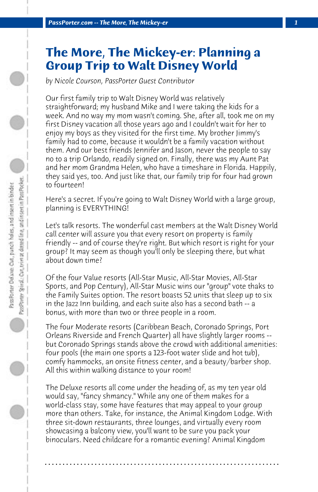## **The More, The Mickey-er: Planning a Group Trip to Walt Disney World**

*by Nicole Courson, PassPorter Guest Contributor*

Our first family trip to Walt Disney World was relatively straightforward; my husband Mike and I were taking the kids for a week. And no way my mom wasn't coming. She, after all, took me on my first Disney vacation all those years ago and I couldn't wait for her to enjoy my boys as they visited for the first time. My brother Jimmy's family had to come, because it wouldn't be a family vacation without them. And our best friends Jennifer and Jason, never the people to say no to a trip Orlando, readily signed on. Finally, there was my Aunt Pat and her mom Grandma Helen, who have a timeshare in Florida. Happily, they said yes, too. And just like that, our family trip for four had grown to fourteen!

Here's a secret. If you're going to Walt Disney World with a large group, planning is EVERYTHING!

Let's talk resorts. The wonderful cast members at the Walt Disney World call center will assure you that every resort on property is family friendly -- and of course they're right. But which resort is right for your group? It may seem as though you'll only be sleeping there, but what about down time?

Of the four Value resorts (All-Star Music, All-Star Movies, All-Star Sports, and Pop Century), All-Star Music wins our "group" vote thaks to the Family Suites option. The resort boasts 52 units that sleep up to six in the Jazz Inn building, and each suite also has a second bath -- a bonus, with more than two or three people in a room.

The four Moderate resorts (Caribbean Beach, Coronado Springs, Port Orleans Riverside and French Quarter) all have slightly larger rooms - but Coronado Springs stands above the crowd with additional amenities: four pools (the main one sports a 123-foot water slide and hot tub), comfy hammocks, an onsite fitness center, and a beauty/barber shop. All this within walking distance to your room!

The Deluxe resorts all come under the heading of, as my ten year old would say, "fancy shmancy." While any one of them makes for a world-class stay, some have features that may appeal to your group more than others. Take, for instance, the Animal Kingdom Lodge. With three sit-down restaurants, three lounges, and virtually every room showcasing a balcony view, you'll want to be sure you pack your binoculars. Need childcare for a romantic evening? Animal Kingdom

**. . . . . . . . . . . . . . . . . . . . . . . . . . . . . . . . . . . . . . . . . . . . . . . . . . . . . . . . . . . . . . . . . .**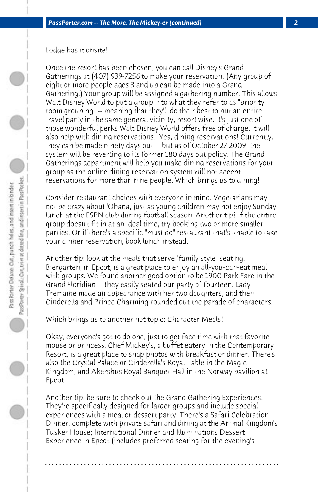Lodge has it onsite!

Once the resort has been chosen, you can call Disney's Grand Gatherings at (407) 939-7256 to make your reservation. (Any group of eight or more people ages 3 and up can be made into a Grand Gathering.) Your group will be assigned a gathering number. This allows Walt Disney World to put a group into what they refer to as "priority room grouping" -- meaning that they'll do their best to put an entire travel party in the same general vicinity, resort wise. It's just one of those wonderful perks Walt Disney World offers free of charge. It will also help with dining reservations. Yes, dining reservations! Currently, they can be made ninety days out -- but as of October 27 2009, the system will be reverting to its former 180 days out policy. The Grand Gatherings department will help you make dining reservations for your group as the online dining reservation system will not accept reservations for more than nine people. Which brings us to dining!

Consider restaurant choices with everyone in mind. Vegetarians may not be crazy about 'Ohana, just as young children may not enjoy Sunday lunch at the ESPN club during football season. Another tip? If the entire group doesn't fit in at an ideal time, try booking two or more smaller parties. Or if there's a specific "must do" restaurant that's unable to take your dinner reservation, book lunch instead.

Another tip: look at the meals that serve "family style" seating. Biergarten, in Epcot, is a great place to enjoy an all-you-can-eat meal with groups. We found another good option to be 1900 Park Fare in the Grand Floridian -- they easily seated our party of fourteen. Lady Tremaine made an appearance with her two daughters, and then Cinderella and Prince Charming rounded out the parade of characters.

Which brings us to another hot topic: Character Meals!

Okay, everyone's got to do one, just to get face time with that favorite mouse or princess. Chef Mickey's, a buffet eatery in the Contemporary Resort, is a great place to snap photos with breakfast or dinner. There's also the Crystal Palace or Cinderella's Royal Table in the Magic Kingdom, and Akershus Royal Banquet Hall in the Norway pavilion at Epcot.

Another tip: be sure to check out the Grand Gathering Experiences. They're specifically designed for larger groups and include special experiences with a meal or dessert party. There's a Safari Celebration Dinner, complete with private safari and dining at the Animal Kingdom's Tusker House; International Dinner and Illuminations Dessert Experience in Epcot (includes preferred seating for the evening's

**. . . . . . . . . . . . . . . . . . . . . . . . . . . . . . . . . . . . . . . . . . . . . . . . . . . . . . . . . . . . . . . . . .**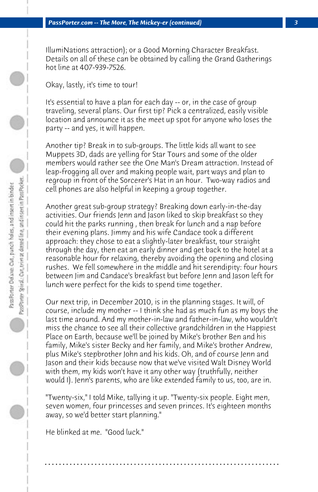IllumiNations attraction); or a Good Morning Character Breakfast. Details on all of these can be obtained by calling the Grand Gatherings hot line at 407-939-7526.

Okay, lastly, it's time to tour!

It's essential to have a plan for each day -- or, in the case of group traveling, several plans. Our first tip? Pick a centralized, easily visible location and announce it as the meet up spot for anyone who loses the party -- and yes, it will happen.

Another tip? Break in to sub-groups. The little kids all want to see Muppets 3D, dads are yelling for Star Tours and some of the older members would rather see the One Man's Dream attraction. Instead of leap-frogging all over and making people wait, part ways and plan to regroup in front of the Sorcerer's Hat in an hour. Two-way radios and cell phones are also helpful in keeping a group together.

Another great sub-group strategy? Breaking down early-in-the-day activities. Our friends Jenn and Jason liked to skip breakfast so they could hit the parks running , then break for lunch and a nap before their evening plans. Jimmy and his wife Candace took a different approach: they chose to eat a slightly-later breakfast, tour straight through the day, then eat an early dinner and get back to the hotel at a reasonable hour for relaxing, thereby avoiding the opening and closing rushes. We fell somewhere in the middle and hit serendipity: four hours between Jim and Candace's breakfast but before Jenn and Jason left for lunch were perfect for the kids to spend time together.

Our next trip, in December 2010, is in the planning stages. It will, of course, include my mother -- I think she had as much fun as my boys the last time around. And my mother-in-law and father-in-law, who wouldn't miss the chance to see all their collective grandchildren in the Happiest Place on Earth, because we'll be joined by Mike's brother Ben and his family, Mike's sister Becky and her family, and Mike's brother Andrew, plus Mike's stepbrother John and his kids. Oh, and of course Jenn and Jason and their kids because now that we've visited Walt Disney World with them, my kids won't have it any other way (truthfully, neither would I). Jenn's parents, who are like extended family to us, too, are in.

"Twenty-six," I told Mike, tallying it up. "Twenty-six people. Eight men, seven women, four princesses and seven princes. It's eighteen months away, so we'd better start planning."

**. . . . . . . . . . . . . . . . . . . . . . . . . . . . . . . . . . . . . . . . . . . . . . . . . . . . . . . . . . . . . . . . . .**

He blinked at me. "Good luck."